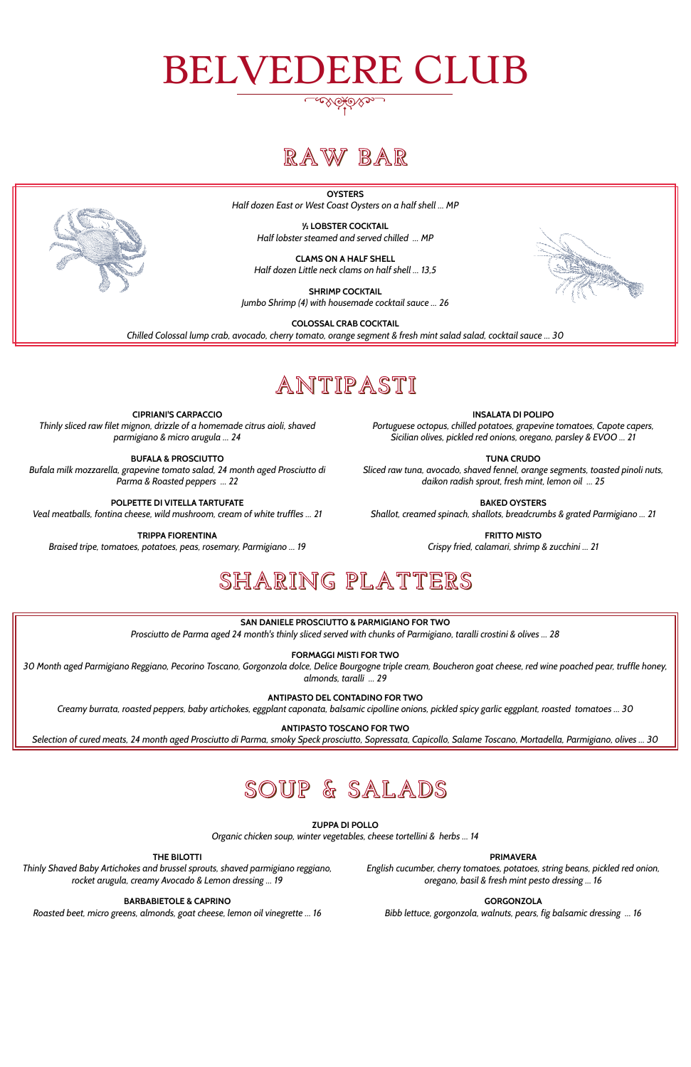# BELVEDERE CLUB

# **RAW BAR**

**OYSTERS** *Half dozen East or West Coast Oysters on a half shell … MP*

> **½ LOBSTER COCKTAIL** *Half lobster steamed and served chilled … MP*

**CLAMS ON A HALF SHELL** *Half dozen Little neck clams on half shell … 13,5*

**SHRIMP COCKTAIL** *Jumbo Shrimp (4) with housemade cocktail sauce … 26*



**COLOSSAL CRAB COCKTAIL**

*Chilled Colossal lump crab, avocado, cherry tomato, orange segment & fresh mint salad salad, cocktail sauce … 30*

# **ANTIPASTI**

**CIPRIANI'S CARPACCIO** *Thinly sliced raw filet mignon, drizzle of a homemade citrus aioli, shaved parmigiano & micro arugula … 24*

#### **INSALATA DI POLIPO**

*Portuguese octopus, chilled potatoes, grapevine tomatoes, Capote capers, Sicilian olives, pickled red onions, oregano, parsley & EVOO … 21*

**BUFALA & PROSCIUTTO** *Bufala milk mozzarella, grapevine tomato salad, 24 month aged Prosciutto di Parma & Roasted peppers … 22*

#### **TUNA CRUDO**

*Sliced raw tuna, avocado, shaved fennel, orange segments, toasted pinoli nuts, daikon radish sprout, fresh mint, lemon oil … 25*

**POLPETTE DI VITELLA TARTUFATE** *Veal meatballs, fontina cheese, wild mushroom, cream of white truffles … 21* **BAKED OYSTERS**

*Shallot, creamed spinach, shallots, breadcrumbs & grated Parmigiano … 21*

**TRIPPA FIORENTINA** *Braised tripe, tomatoes, potatoes, peas, rosemary, Parmigiano … 19* **FRITTO MISTO**

*Crispy fried, calamari, shrimp & zucchini … 21*

# **SHARING PLATTERS**

**SAN DANIELE PROSCIUTTO & PARMIGIANO FOR TWO**

*Prosciutto de Parma aged 24 month's thinly sliced served with chunks of Parmigiano, taralli crostini & olives … 28*

**FORMAGGI MISTI FOR TWO**

*30 Month aged Parmigiano Reggiano, Pecorino Toscano, Gorgonzola dolce, Delice Bourgogne triple cream, Boucheron goat cheese, red wine poached pear, truffle honey, almonds, taralli … 29*

**ANTIPASTO DEL CONTADINO FOR TWO**

*Creamy burrata, roasted peppers, baby artichokes, eggplant caponata, balsamic cipolline onions, pickled spicy garlic eggplant, roasted tomatoes … 30*

**ANTIPASTO TOSCANO FOR TWO**

*Selection of cured meats, 24 month aged Prosciutto di Parma, smoky Speck prosciutto, Sopressata, Capicollo, Salame Toscano, Mortadella, Parmigiano, olives … 30*



## **SOUP & SALADS**

**ZUPPA DI POLLO** *Organic chicken soup, winter vegetables, cheese tortellini & herbs … 14*

#### **THE BILOTTI**

*Thinly Shaved Baby Artichokes and brussel sprouts, shaved parmigiano reggiano, rocket arugula, creamy Avocado & Lemon dressing … 19*

#### **PRIMAVERA**

*English cucumber, cherry tomatoes, potatoes, string beans, pickled red onion, oregano, basil & fresh mint pesto dressing … 16*

#### **BARBABIETOLE & CAPRINO**

*Roasted beet, micro greens, almonds, goat cheese, lemon oil vinegrette … 16*

#### **GORGONZOLA**

*Bibb lettuce, gorgonzola, walnuts, pears, fig balsamic dressing … 16*